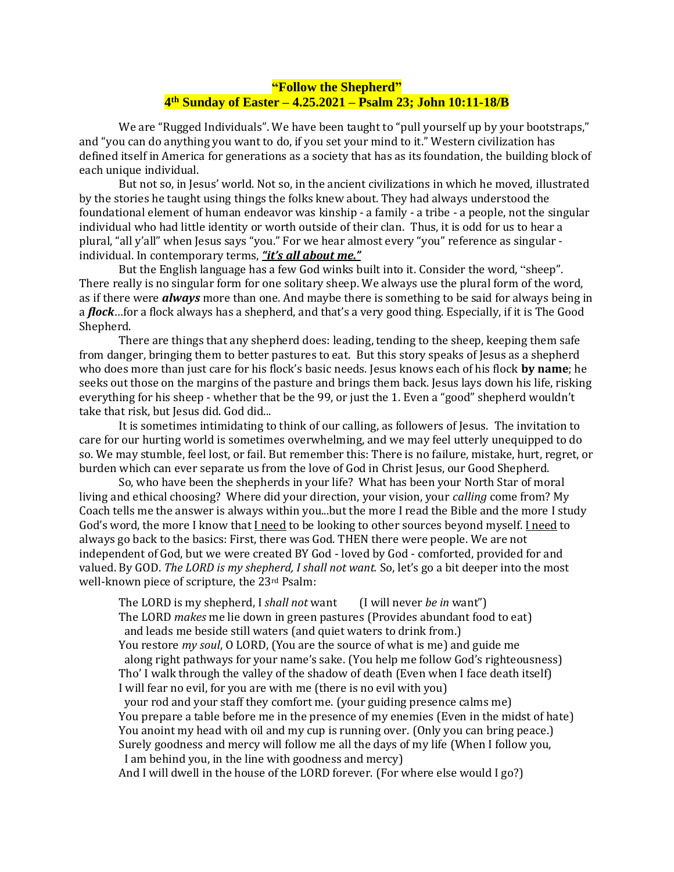## **"Follow the Shepherd" 4 th Sunday of Easter – 4.25.2021 – Psalm 23; John 10:11-18/B**

We are "Rugged Individuals". We have been taught to "pull yourself up by your bootstraps," and "you can do anything you want to do, if you set your mind to it." Western civilization has defined itself in America for generations as a society that has as its foundation, the building block of each unique individual.

But not so, in Jesus' world. Not so, in the ancient civilizations in which he moved, illustrated by the stories he taught using things the folks knew about. They had always understood the foundational element of human endeavor was kinship - a family - a tribe - a people, not the singular individual who had little identity or worth outside of their clan. Thus, it is odd for us to hear a plural, "all y'all" when Jesus says "you." For we hear almost every "you" reference as singular individual. In contemporary terms, *"it's all about me."* 

But the English language has a few God winks built into it. Consider the word, "sheep". There really is no singular form for one solitary sheep. We always use the plural form of the word, as if there were *always* more than one. And maybe there is something to be said for always being in a *flock*…for a flock always has a shepherd, and that's a very good thing. Especially, if it is The Good Shepherd.

There are things that any shepherd does: leading, tending to the sheep, keeping them safe from danger, bringing them to better pastures to eat. But this story speaks of Jesus as a shepherd who does more than just care for his flock's basic needs. Jesus knows each of his flock **by name**; he seeks out those on the margins of the pasture and brings them back. Jesus lays down his life, risking everything for his sheep - whether that be the 99, or just the 1. Even a "good" shepherd wouldn't take that risk, but Jesus did. God did...

It is sometimes intimidating to think of our calling, as followers of Jesus. The invitation to care for our hurting world is sometimes overwhelming, and we may feel utterly unequipped to do so. We may stumble, feel lost, or fail. But remember this: There is no failure, mistake, hurt, regret, or burden which can ever separate us from the love of God in Christ Jesus, our Good Shepherd.

So, who have been the shepherds in your life? What has been your North Star of moral living and ethical choosing? Where did your direction, your vision, your *calling* come from? My Coach tells me the answer is always within you...but the more I read the Bible and the more I study God's word, the more I know that I need to be looking to other sources beyond myself. I need to always go back to the basics: First, there was God. THEN there were people. We are not independent of God, but we were created BY God - loved by God - comforted, provided for and valued. By GOD. *The LORD is my shepherd, I shall not want.* So, let's go a bit deeper into the most well-known piece of scripture, the 23rd Psalm:

The LORD is my shepherd, I *shall not* want (I will never *be in* want") The LORD *makes* me lie down in green pastures (Provides abundant food to eat) and leads me beside still waters (and quiet waters to drink from.) You restore *my soul*, O LORD, (You are the source of what is me) and guide me along right pathways for your name's sake. (You help me follow God's righteousness) Tho' I walk through the valley of the shadow of death (Even when I face death itself) I will fear no evil, for you are with me (there is no evil with you) your rod and your staff they comfort me. (your guiding presence calms me) You prepare a table before me in the presence of my enemies (Even in the midst of hate) You anoint my head with oil and my cup is running over. (Only you can bring peace.) Surely goodness and mercy will follow me all the days of my life (When I follow you, I am behind you, in the line with goodness and mercy)

And I will dwell in the house of the LORD forever. (For where else would I go?)